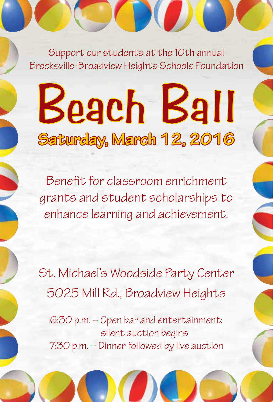Support our students at the 10th annual Brecksville-Broadview Heights Schools Foundation

## Beach Ball **Saturday, March 12, 2016**

Benefit for classroom enrichment grants and student scholarships to enhance learning and achievement.

St. Michael's Woodside Party Center 5025 Mill Rd., Broadview Heights

6:30 p.m. – Open bar and entertainment; silent auction begins 7:30 p.m. – Dinner followed by live auction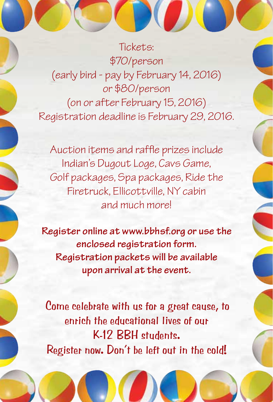Tickets: \$70/person (early bird - pay by February 14, 2016) or \$80/person (on or after February 15, 2016) Registration deadline is February 29, 2016.

Auction items and raffle prizes include Indian's Dugout Loge, Cavs Game, Golf packages, Spa packages, Ride the Firetruck, Ellicottville, NY cabin and much more!

**Register online at www.bbhsf.org or use the enclosed registration form. Registration packets will be available upon arrival at the event.**

Come celebrate with us for a great cause, to enrich the educational lives of our K-12 BBH students. Register now. Don't be left out in the cold!